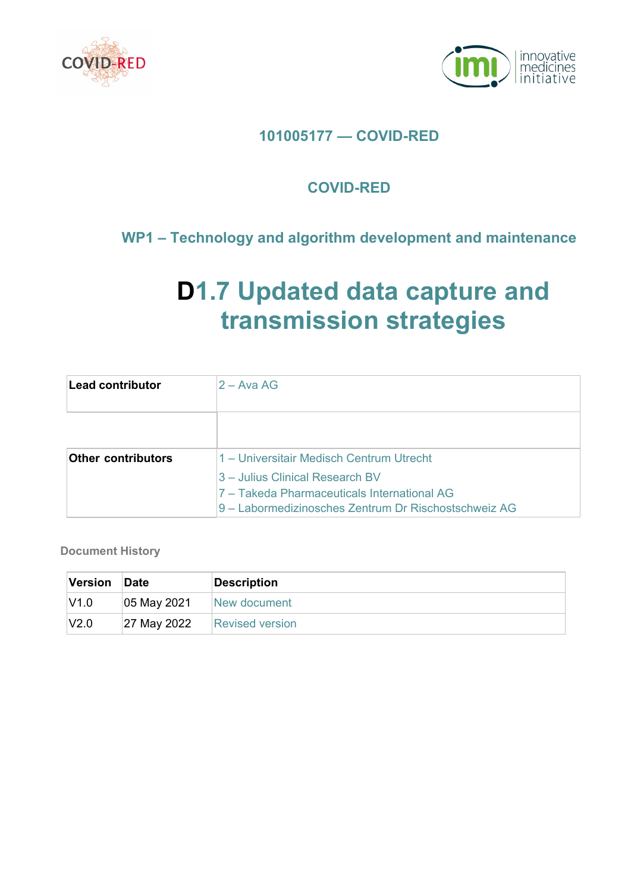



# **101005177 — COVID-RED**

# **COVID-RED**

# **WP1 – Technology and algorithm development and maintenance**

# **D1.7 Updated data capture and transmission strategies**

| Lead contributor          | $2 - A$ va AG                                                                                       |
|---------------------------|-----------------------------------------------------------------------------------------------------|
|                           |                                                                                                     |
| <b>Other contributors</b> | 1 – Universitair Medisch Centrum Utrecht                                                            |
|                           | 3 – Julius Clinical Research BV                                                                     |
|                           | 7 - Takeda Pharmaceuticals International AG<br>9 – Labormedizinosches Zentrum Dr Rischostschweiz AG |

**Document History**

| Version | Date        | <b>Description</b>     |
|---------|-------------|------------------------|
| V1.0    | 05 May 2021 | New document           |
| V2.0    | 27 May 2022 | <b>Revised version</b> |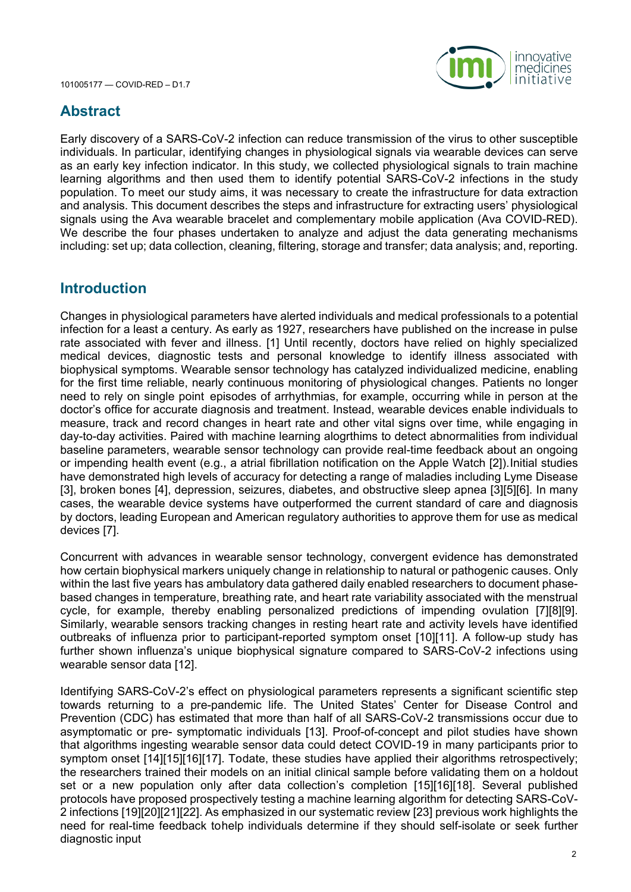

## **Abstract**

Early discovery of a SARS-CoV-2 infection can reduce transmission of the virus to other susceptible individuals. In particular, identifying changes in physiological signals via wearable devices can serve as an early key infection indicator. In this study, we collected physiological signals to train machine learning algorithms and then used them to identify potential SARS-CoV-2 infections in the study population. To meet our study aims, it was necessary to create the infrastructure for data extraction and analysis. This document describes the steps and infrastructure for extracting users' physiological signals using the Ava wearable bracelet and complementary mobile application (Ava COVID-RED). We describe the four phases undertaken to analyze and adjust the data generating mechanisms including: set up; data collection, cleaning, filtering, storage and transfer; data analysis; and, reporting.

#### **Introduction**

Changes in physiological parameters have alerted individuals and medical professionals to a potential infection for a least a century. As early as 1927, researchers have published on the increase in pulse rate associated with fever and illness. [1] Until recently, doctors have relied on highly specialized medical devices, diagnostic tests and personal knowledge to identify illness associated with biophysical symptoms. Wearable sensor technology has catalyzed individualized medicine, enabling for the first time reliable, nearly continuous monitoring of physiological changes. Patients no longer need to rely on single point episodes of arrhythmias, for example, occurring while in person at the doctor's office for accurate diagnosis and treatment. Instead, wearable devices enable individuals to measure, track and record changes in heart rate and other vital signs over time, while engaging in day-to-day activities. Paired with machine learning alogrthims to detect abnormalities from individual baseline parameters, wearable sensor technology can provide real-time feedback about an ongoing or impending health event (e.g., a atrial fibrillation notification on the Apple Watch [2]).Initial studies have demonstrated high levels of accuracy for detecting a range of maladies including Lyme Disease [3], broken bones [4], depression, seizures, diabetes, and obstructive sleep apnea [3][5][6]. In many cases, the wearable device systems have outperformed the current standard of care and diagnosis by doctors, leading European and American regulatory authorities to approve them for use as medical devices [7].

Concurrent with advances in wearable sensor technology, convergent evidence has demonstrated how certain biophysical markers uniquely change in relationship to natural or pathogenic causes. Only within the last five years has ambulatory data gathered daily enabled researchers to document phasebased changes in temperature, breathing rate, and heart rate variability associated with the menstrual cycle, for example, thereby enabling personalized predictions of impending ovulation [7][8][9]. Similarly, wearable sensors tracking changes in resting heart rate and activity levels have identified outbreaks of influenza prior to participant-reported symptom onset [10][11]. A follow-up study has further shown influenza's unique biophysical signature compared to SARS-CoV-2 infections using wearable sensor data [12].

Identifying SARS-CoV-2's effect on physiological parameters represents a significant scientific step towards returning to a pre-pandemic life. The United States' Center for Disease Control and Prevention (CDC) has estimated that more than half of all SARS-CoV-2 transmissions occur due to asymptomatic or pre- symptomatic individuals [13]. Proof-of-concept and pilot studies have shown that algorithms ingesting wearable sensor data could detect COVID-19 in many participants prior to symptom onset [14][15][16][17]. Todate, these studies have applied their algorithms retrospectively; the researchers trained their models on an initial clinical sample before validating them on a holdout set or a new population only after data collection's completion [15][16][18]. Several published protocols have proposed prospectively testing a machine learning algorithm for detecting SARS-CoV-2 infections [19][20][21][22]. As emphasized in our systematic review [23] previous work highlights the need for real-time feedback tohelp individuals determine if they should self-isolate or seek further diagnostic input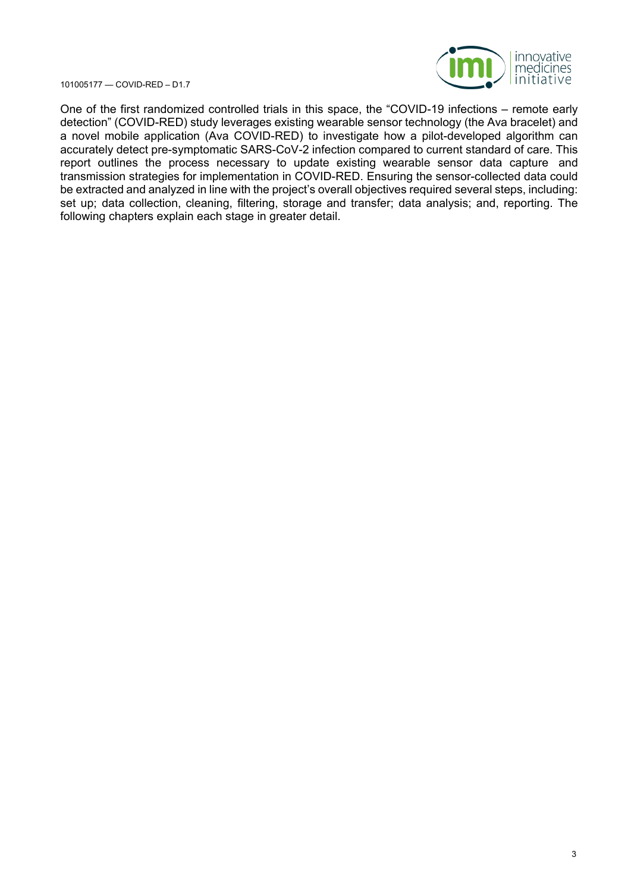

One of the first randomized controlled trials in this space, the "COVID-19 infections – remote early detection" (COVID-RED) study leverages existing wearable sensor technology (the Ava bracelet) and a novel mobile application (Ava COVID-RED) to investigate how a pilot-developed algorithm can accurately detect pre-symptomatic SARS-CoV-2 infection compared to current standard of care. This report outlines the process necessary to update existing wearable sensor data capture and transmission strategies for implementation in COVID-RED. Ensuring the sensor-collected data could be extracted and analyzed in line with the project's overall objectives required several steps, including: set up; data collection, cleaning, filtering, storage and transfer; data analysis; and, reporting. The following chapters explain each stage in greater detail.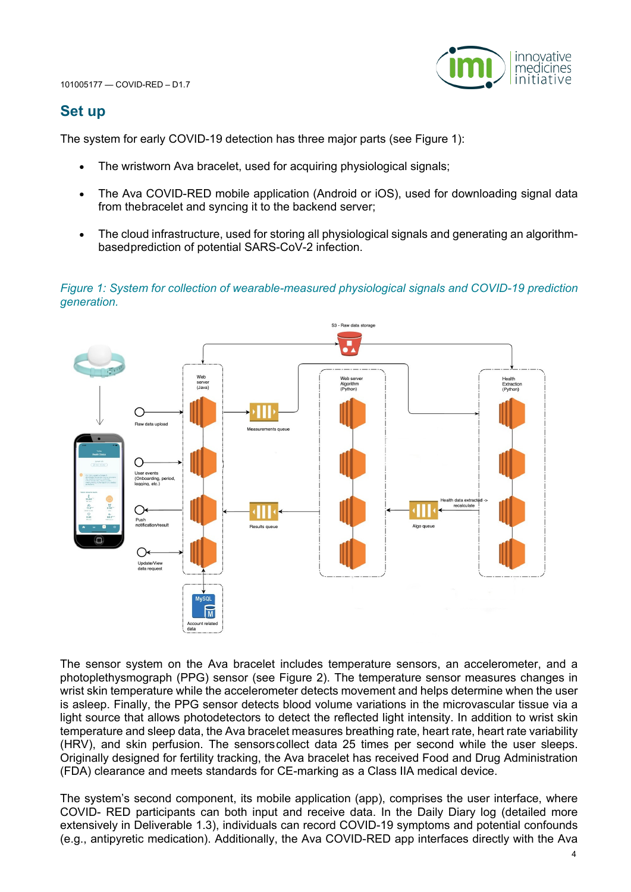

### **Set up**

The system for early COVID-19 detection has three major parts (see Figure 1):

- The wristworn Ava bracelet, used for acquiring physiological signals;
- The Ava COVID-RED mobile application (Android or iOS), used for downloading signal data from thebracelet and syncing it to the backend server;
- The cloud infrastructure, used for storing all physiological signals and generating an algorithmbasedprediction of potential SARS-CoV-2 infection.

*Figure 1: System for collection of wearable-measured physiological signals and COVID-19 prediction generation.*



The sensor system on the Ava bracelet includes temperature sensors, an accelerometer, and a photoplethysmograph (PPG) sensor (see Figure 2). The temperature sensor measures changes in wrist skin temperature while the accelerometer detects movement and helps determine when the user is asleep. Finally, the PPG sensor detects blood volume variations in the microvascular tissue via a light source that allows photodetectors to detect the reflected light intensity. In addition to wrist skin temperature and sleep data, the Ava bracelet measures breathing rate, heart rate, heart rate variability (HRV), and skin perfusion. The sensorscollect data 25 times per second while the user sleeps. Originally designed for fertility tracking, the Ava bracelet has received Food and Drug Administration (FDA) clearance and meets standards for CE-marking as a Class IIA medical device.

The system's second component, its mobile application (app), comprises the user interface, where COVID- RED participants can both input and receive data. In the Daily Diary log (detailed more extensively in Deliverable 1.3), individuals can record COVID-19 symptoms and potential confounds (e.g., antipyretic medication). Additionally, the Ava COVID-RED app interfaces directly with the Ava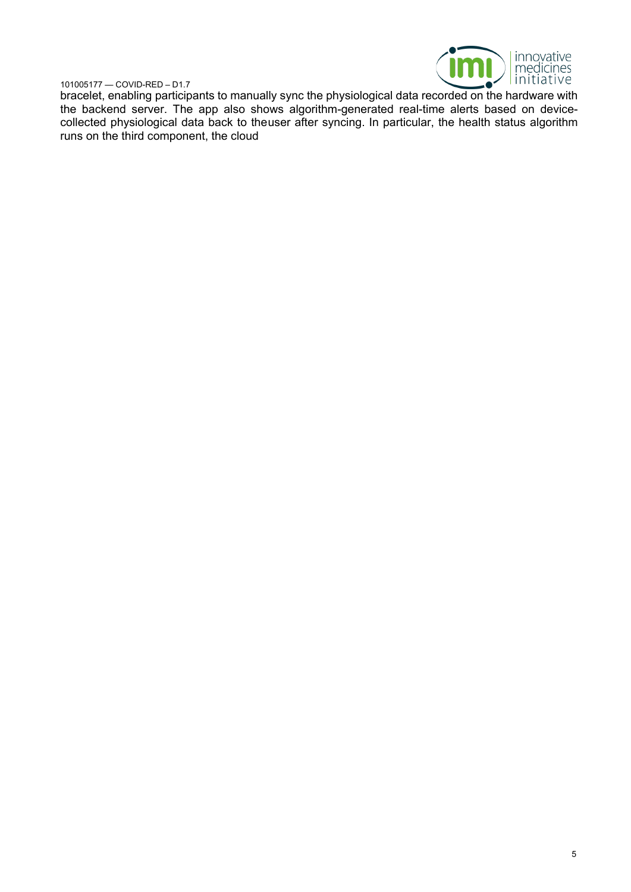

bracelet, enabling participants to manually sync the physiological data recorded on the hardware with the backend server. The app also shows algorithm-generated real-time alerts based on devicecollected physiological data back to theuser after syncing. In particular, the health status algorithm runs on the third component, the cloud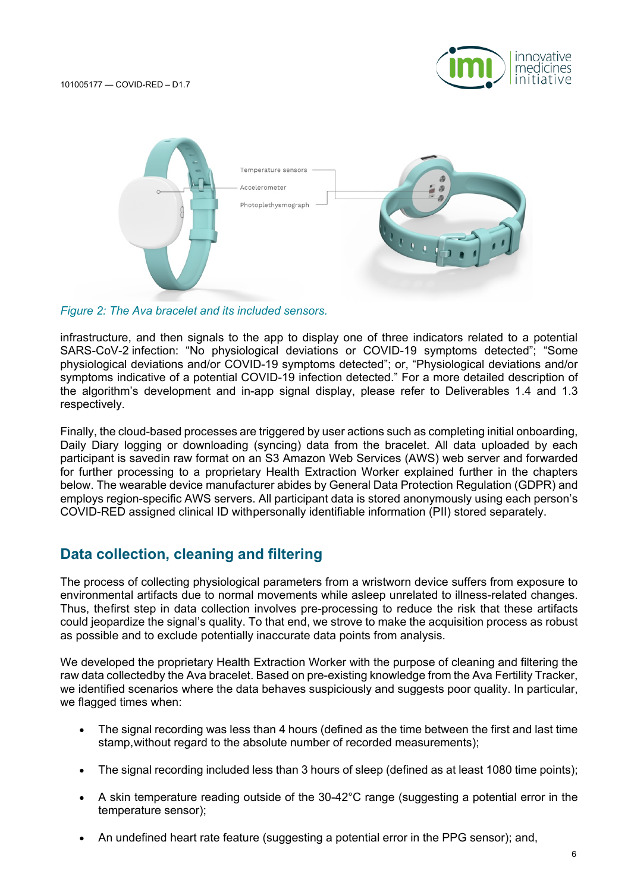



*Figure 2: The Ava bracelet and its included sensors.*

infrastructure, and then signals to the app to display one of three indicators related to a potential SARS-CoV-2 infection: "No physiological deviations or COVID-19 symptoms detected"; "Some physiological deviations and/or COVID-19 symptoms detected"; or, "Physiological deviations and/or symptoms indicative of a potential COVID-19 infection detected." For a more detailed description of the algorithm's development and in-app signal display, please refer to Deliverables 1.4 and 1.3 respectively.

Finally, the cloud-based processes are triggered by user actions such as completing initial onboarding, Daily Diary logging or downloading (syncing) data from the bracelet. All data uploaded by each participant is savedin raw format on an S3 Amazon Web Services (AWS) web server and forwarded for further processing to a proprietary Health Extraction Worker explained further in the chapters below. The wearable device manufacturer abides by General Data Protection Regulation (GDPR) and employs region-specific AWS servers. All participant data is stored anonymously using each person's COVID-RED assigned clinical ID withpersonally identifiable information (PII) stored separately.

## **Data collection, cleaning and filtering**

The process of collecting physiological parameters from a wristworn device suffers from exposure to environmental artifacts due to normal movements while asleep unrelated to illness-related changes. Thus, thefirst step in data collection involves pre-processing to reduce the risk that these artifacts could jeopardize the signal's quality. To that end, we strove to make the acquisition process as robust as possible and to exclude potentially inaccurate data points from analysis.

We developed the proprietary Health Extraction Worker with the purpose of cleaning and filtering the raw data collectedby the Ava bracelet. Based on pre-existing knowledge from the Ava Fertility Tracker, we identified scenarios where the data behaves suspiciously and suggests poor quality. In particular, we flagged times when:

- The signal recording was less than 4 hours (defined as the time between the first and last time stamp,without regard to the absolute number of recorded measurements);
- The signal recording included less than 3 hours of sleep (defined as at least 1080 time points);
- A skin temperature reading outside of the 30-42°C range (suggesting a potential error in the temperature sensor);
- An undefined heart rate feature (suggesting a potential error in the PPG sensor); and,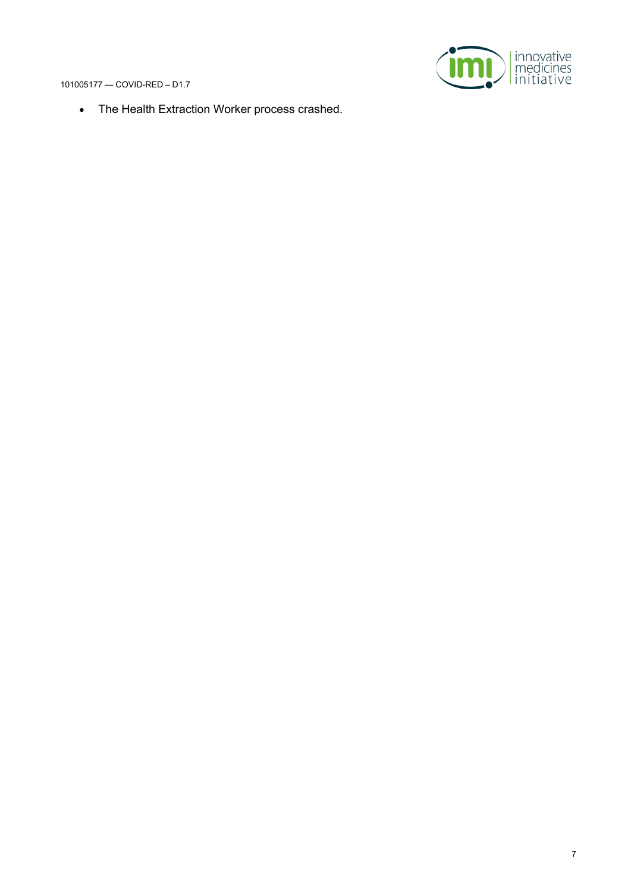

• The Health Extraction Worker process crashed.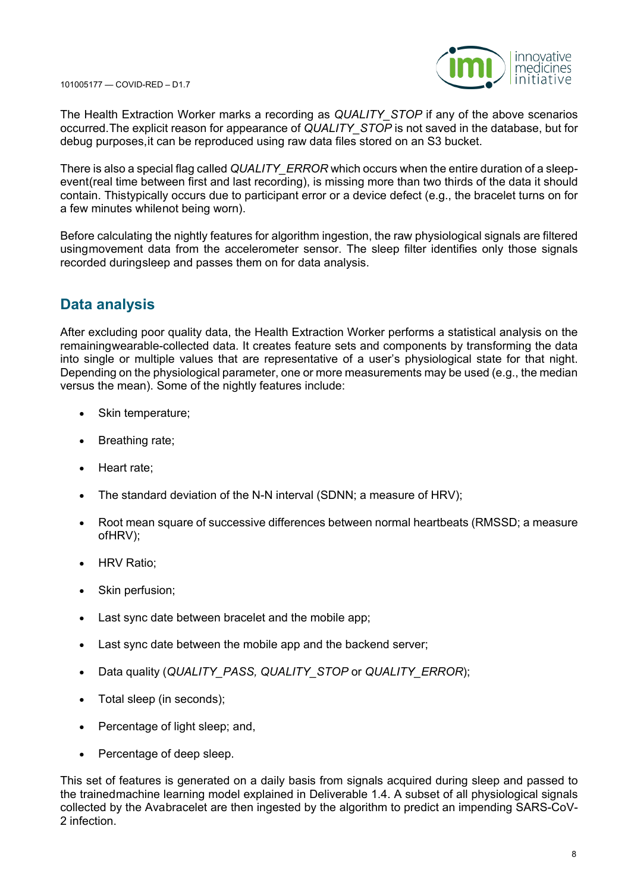

The Health Extraction Worker marks a recording as *QUALITY\_STOP* if any of the above scenarios occurred.The explicit reason for appearance of *QUALITY\_STOP* is not saved in the database, but for debug purposes,it can be reproduced using raw data files stored on an S3 bucket.

There is also a special flag called *QUALITY\_ERROR* which occurs when the entire duration of a sleepevent(real time between first and last recording), is missing more than two thirds of the data it should contain. Thistypically occurs due to participant error or a device defect (e.g., the bracelet turns on for a few minutes whilenot being worn).

Before calculating the nightly features for algorithm ingestion, the raw physiological signals are filtered usingmovement data from the accelerometer sensor. The sleep filter identifies only those signals recorded duringsleep and passes them on for data analysis.

# **Data analysis**

After excluding poor quality data, the Health Extraction Worker performs a statistical analysis on the remainingwearable-collected data. It creates feature sets and components by transforming the data into single or multiple values that are representative of a user's physiological state for that night. Depending on the physiological parameter, one or more measurements may be used (e.g., the median versus the mean). Some of the nightly features include:

- Skin temperature;
- Breathing rate;
- Heart rate;
- The standard deviation of the N-N interval (SDNN; a measure of HRV);
- Root mean square of successive differences between normal heartbeats (RMSSD; a measure ofHRV);
- HRV Ratio:
- Skin perfusion;
- Last sync date between bracelet and the mobile app;
- Last sync date between the mobile app and the backend server;
- Data quality (*QUALITY\_PASS, QUALITY\_STOP* or *QUALITY\_ERROR*);
- Total sleep (in seconds);
- Percentage of light sleep; and,
- Percentage of deep sleep.

This set of features is generated on a daily basis from signals acquired during sleep and passed to the trainedmachine learning model explained in Deliverable 1.4. A subset of all physiological signals collected by the Avabracelet are then ingested by the algorithm to predict an impending SARS-CoV-2 infection.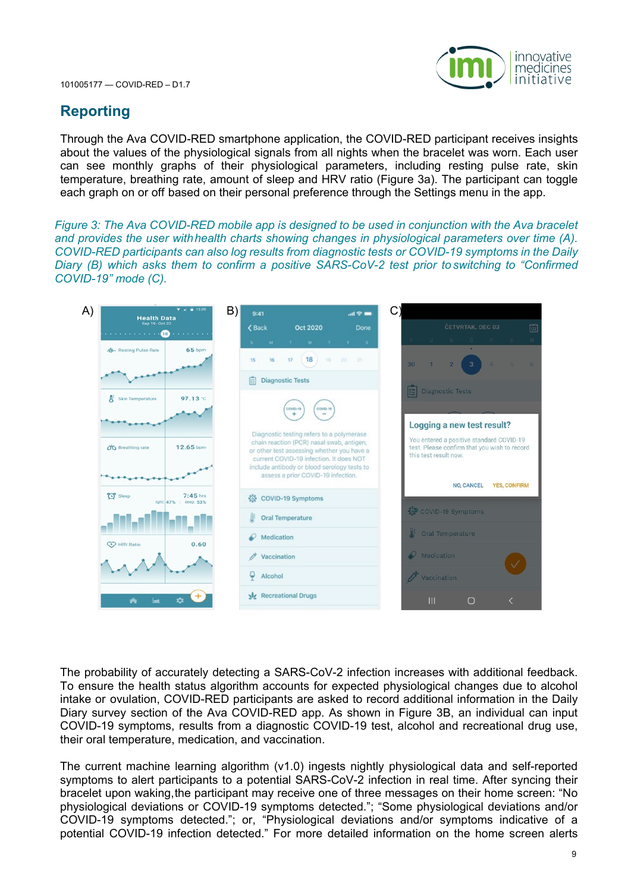



# **Reporting**

Through the Ava COVID-RED smartphone application, the COVID-RED participant receives insights about the values of the physiological signals from all nights when the bracelet was worn. Each user can see monthly graphs of their physiological parameters, including resting pulse rate, skin temperature, breathing rate, amount of sleep and HRV ratio (Figure 3a). The participant can toggle each graph on or off based on their personal preference through the Settings menu in the app.

*Figure 3: The Ava COVID-RED mobile app is designed to be used in conjunction with the Ava bracelet and provides the user withhealth charts showing changes in physiological parameters over time (A). COVID-RED participants can also log results from diagnostic tests or COVID-19 symptoms in the Daily Diary (B) which asks them to confirm a positive SARS-CoV-2 test prior to switching to "Confirmed COVID-19" mode (C).*



The probability of accurately detecting a SARS-CoV-2 infection increases with additional feedback. To ensure the health status algorithm accounts for expected physiological changes due to alcohol intake or ovulation, COVID-RED participants are asked to record additional information in the Daily Diary survey section of the Ava COVID-RED app. As shown in Figure 3B, an individual can input COVID-19 symptoms, results from a diagnostic COVID-19 test, alcohol and recreational drug use, their oral temperature, medication, and vaccination.

The current machine learning algorithm (v1.0) ingests nightly physiological data and self-reported symptoms to alert participants to a potential SARS-CoV-2 infection in real time. After syncing their bracelet upon waking,the participant may receive one of three messages on their home screen: "No physiological deviations or COVID-19 symptoms detected."; "Some physiological deviations and/or COVID-19 symptoms detected."; or, "Physiological deviations and/or symptoms indicative of a potential COVID-19 infection detected." For more detailed information on the home screen alerts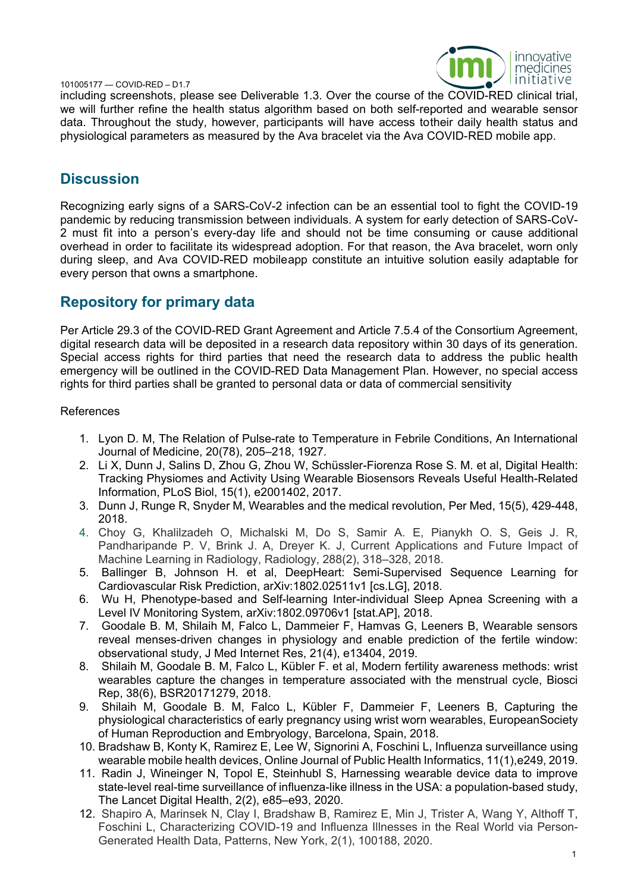

including screenshots, please see Deliverable 1.3. Over the course of the COVID-RED clinical trial, we will further refine the health status algorithm based on both self-reported and wearable sensor data. Throughout the study, however, participants will have access totheir daily health status and physiological parameters as measured by the Ava bracelet via the Ava COVID-RED mobile app.

### **Discussion**

Recognizing early signs of a SARS-CoV-2 infection can be an essential tool to fight the COVID-19 pandemic by reducing transmission between individuals. A system for early detection of SARS-CoV-2 must fit into a person's every-day life and should not be time consuming or cause additional overhead in order to facilitate its widespread adoption. For that reason, the Ava bracelet, worn only during sleep, and Ava COVID-RED mobileapp constitute an intuitive solution easily adaptable for every person that owns a smartphone.

## **Repository for primary data**

Per Article 29.3 of the COVID-RED Grant Agreement and Article 7.5.4 of the Consortium Agreement, digital research data will be deposited in a research data repository within 30 days of its generation. Special access rights for third parties that need the research data to address the public health emergency will be outlined in the COVID-RED Data Management Plan. However, no special access rights for third parties shall be granted to personal data or data of commercial sensitivity

#### References

- 1. Lyon D. M, The Relation of Pulse-rate to Temperature in Febrile Conditions, An International Journal of Medicine, 20(78), 205–218, 1927.
- 2. Li X, Dunn J, Salins D, Zhou G, Zhou W, Schüssler-Fiorenza Rose S. M. et al, Digital Health: Tracking Physiomes and Activity Using Wearable Biosensors Reveals Useful Health-Related Information, PLoS Biol, 15(1), e2001402, 2017.
- 3. Dunn J, Runge R, Snyder M, Wearables and the medical revolution, Per Med, 15(5), 429-448, 2018.
- 4. Choy G, Khalilzadeh O, Michalski M, Do S, Samir A. E, Pianykh O. S, Geis J. R, Pandharipande P. V, Brink J. A, Dreyer K. J, Current Applications and Future Impact of Machine Learning in Radiology, Radiology, 288(2), 318–328, 2018.
- 5. Ballinger B, Johnson H. et al, DeepHeart: Semi-Supervised Sequence Learning for Cardiovascular Risk Prediction, arXiv:1802.02511v1 [cs.LG], 2018.
- 6. Wu H, Phenotype-based and Self-learning Inter-individual Sleep Apnea Screening with a Level IV Monitoring System, arXiv:1802.09706v1 [stat.AP], 2018.
- 7. Goodale B. M, Shilaih M, Falco L, Dammeier F, Hamvas G, Leeners B, Wearable sensors reveal menses-driven changes in physiology and enable prediction of the fertile window: observational study, J Med Internet Res, 21(4), e13404, 2019.
- 8. Shilaih M, Goodale B. M, Falco L, Kübler F. et al, Modern fertility awareness methods: wrist wearables capture the changes in temperature associated with the menstrual cycle, Biosci Rep, 38(6), BSR20171279, 2018.
- 9. Shilaih M, Goodale B. M, Falco L, Kübler F, Dammeier F, Leeners B, Capturing the physiological characteristics of early pregnancy using wrist worn wearables, EuropeanSociety of Human Reproduction and Embryology, Barcelona, Spain, 2018.
- 10. Bradshaw B, Konty K, Ramirez E, Lee W, Signorini A, Foschini L, Influenza surveillance using wearable mobile health devices, Online Journal of Public Health Informatics, 11(1),e249, 2019.
- 11. Radin J, Wineinger N, Topol E, Steinhubl S, Harnessing wearable device data to improve state-level real-time surveillance of influenza-like illness in the USA: a population-based study, The Lancet Digital Health, 2(2), e85–e93, 2020.
- 12. Shapiro A, Marinsek N, Clay I, Bradshaw B, Ramirez E, Min J, Trister A, Wang Y, Althoff T, Foschini L, Characterizing COVID-19 and Influenza Illnesses in the Real World via Person-Generated Health Data, Patterns, New York, 2(1), 100188, 2020.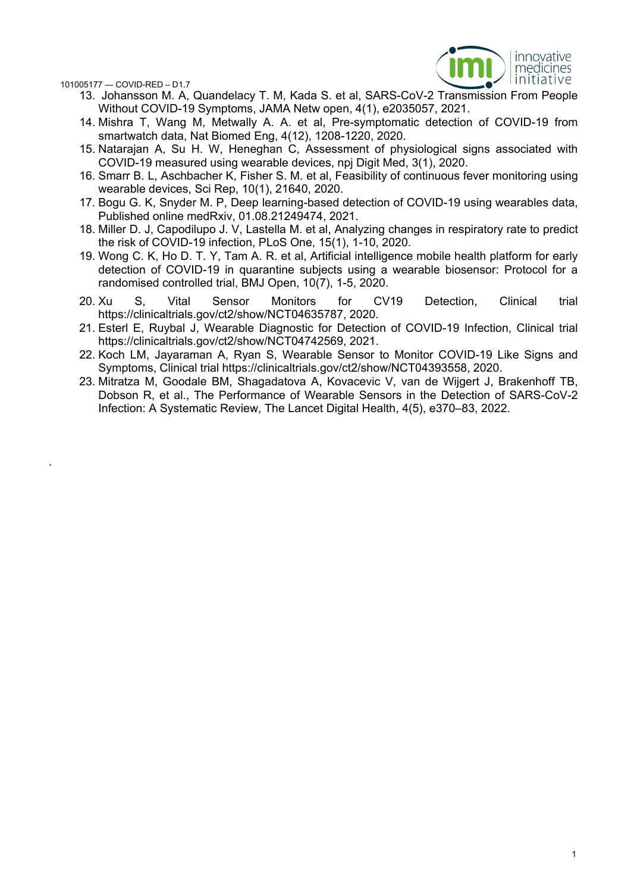.



- 13. Johansson M. A, Quandelacy T. M, Kada S. et al, SARS-CoV-2 Transmission From People Without COVID-19 Symptoms, JAMA Netw open, 4(1), e2035057, 2021.
- 14. Mishra T, Wang M, Metwally A. A. et al, Pre-symptomatic detection of COVID-19 from smartwatch data, Nat Biomed Eng, 4(12), 1208-1220, 2020.
- 15. Natarajan A, Su H. W, Heneghan C, Assessment of physiological signs associated with COVID-19 measured using wearable devices, npj Digit Med, 3(1), 2020.
- 16. Smarr B. L, Aschbacher K, Fisher S. M. et al, Feasibility of continuous fever monitoring using wearable devices, Sci Rep, 10(1), 21640, 2020.
- 17. Bogu G. K, Snyder M. P, Deep learning-based detection of COVID-19 using wearables data, Published online medRxiv, 01.08.21249474, 2021.
- 18. Miller D. J, Capodilupo J. V, Lastella M. et al, Analyzing changes in respiratory rate to predict the risk of COVID-19 infection, PLoS One, 15(1), 1-10, 2020.
- 19. Wong C. K, Ho D. T. Y, Tam A. R. et al, Artificial intelligence mobile health platform for early detection of COVID-19 in quarantine subjects using a wearable biosensor: Protocol for a randomised controlled trial, BMJ Open, 10(7), 1-5, 2020.
- 20. Xu S, Vital Sensor Monitors for CV19 Detection, Clinical trial https://clinicaltrials.gov/ct2/show/NCT04635787, 2020.
- 21. Esterl E, Ruybal J, Wearable Diagnostic for Detection of COVID-19 Infection, Clinical trial https://clinicaltrials.gov/ct2/show/NCT04742569, 2021.
- 22. Koch LM, Jayaraman A, Ryan S, Wearable Sensor to Monitor COVID-19 Like Signs and Symptoms, Clinical trial https://clinicaltrials.gov/ct2/show/NCT04393558, 2020.
- 23. Mitratza M, Goodale BM, Shagadatova A, Kovacevic V, van de Wijgert J, Brakenhoff TB, Dobson R, et al., The Performance of Wearable Sensors in the Detection of SARS-CoV-2 Infection: A Systematic Review, The Lancet Digital Health, 4(5), e370–83, 2022.